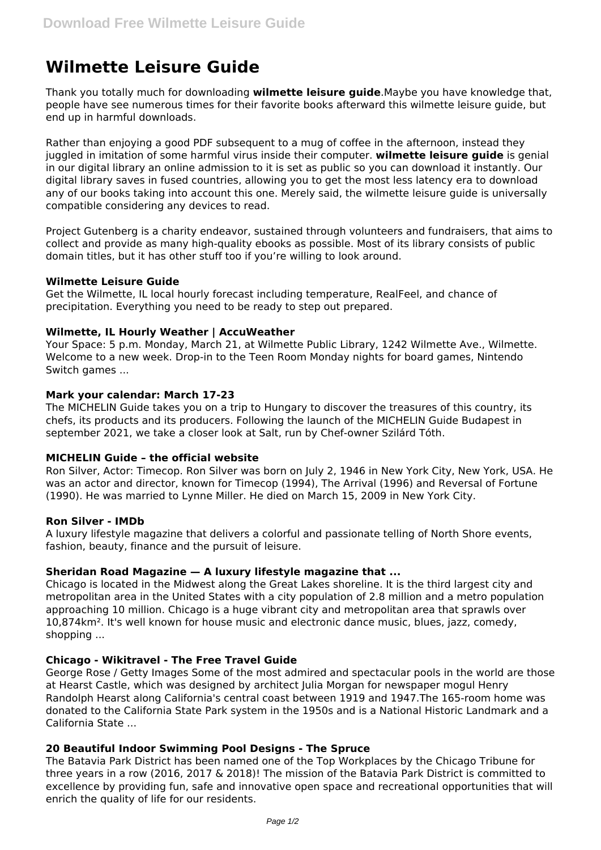# **Wilmette Leisure Guide**

Thank you totally much for downloading **wilmette leisure guide**.Maybe you have knowledge that, people have see numerous times for their favorite books afterward this wilmette leisure guide, but end up in harmful downloads.

Rather than enjoying a good PDF subsequent to a mug of coffee in the afternoon, instead they juggled in imitation of some harmful virus inside their computer. **wilmette leisure guide** is genial in our digital library an online admission to it is set as public so you can download it instantly. Our digital library saves in fused countries, allowing you to get the most less latency era to download any of our books taking into account this one. Merely said, the wilmette leisure guide is universally compatible considering any devices to read.

Project Gutenberg is a charity endeavor, sustained through volunteers and fundraisers, that aims to collect and provide as many high-quality ebooks as possible. Most of its library consists of public domain titles, but it has other stuff too if you're willing to look around.

# **Wilmette Leisure Guide**

Get the Wilmette, IL local hourly forecast including temperature, RealFeel, and chance of precipitation. Everything you need to be ready to step out prepared.

## **Wilmette, IL Hourly Weather | AccuWeather**

Your Space: 5 p.m. Monday, March 21, at Wilmette Public Library, 1242 Wilmette Ave., Wilmette. Welcome to a new week. Drop-in to the Teen Room Monday nights for board games, Nintendo Switch games ...

## **Mark your calendar: March 17-23**

The MICHELIN Guide takes you on a trip to Hungary to discover the treasures of this country, its chefs, its products and its producers. Following the launch of the MICHELIN Guide Budapest in september 2021, we take a closer look at Salt, run by Chef-owner Szilárd Tóth.

## **MICHELIN Guide – the official website**

Ron Silver, Actor: Timecop. Ron Silver was born on July 2, 1946 in New York City, New York, USA. He was an actor and director, known for Timecop (1994), The Arrival (1996) and Reversal of Fortune (1990). He was married to Lynne Miller. He died on March 15, 2009 in New York City.

## **Ron Silver - IMDb**

A luxury lifestyle magazine that delivers a colorful and passionate telling of North Shore events, fashion, beauty, finance and the pursuit of leisure.

# **Sheridan Road Magazine — A luxury lifestyle magazine that ...**

Chicago is located in the Midwest along the Great Lakes shoreline. It is the third largest city and metropolitan area in the United States with a city population of 2.8 million and a metro population approaching 10 million. Chicago is a huge vibrant city and metropolitan area that sprawls over 10,874km². It's well known for house music and electronic dance music, blues, jazz, comedy, shopping ...

# **Chicago - Wikitravel - The Free Travel Guide**

George Rose / Getty Images Some of the most admired and spectacular pools in the world are those at Hearst Castle, which was designed by architect Julia Morgan for newspaper mogul Henry Randolph Hearst along California's central coast between 1919 and 1947.The 165-room home was donated to the California State Park system in the 1950s and is a National Historic Landmark and a California State ...

# **20 Beautiful Indoor Swimming Pool Designs - The Spruce**

The Batavia Park District has been named one of the Top Workplaces by the Chicago Tribune for three years in a row (2016, 2017 & 2018)! The mission of the Batavia Park District is committed to excellence by providing fun, safe and innovative open space and recreational opportunities that will enrich the quality of life for our residents.